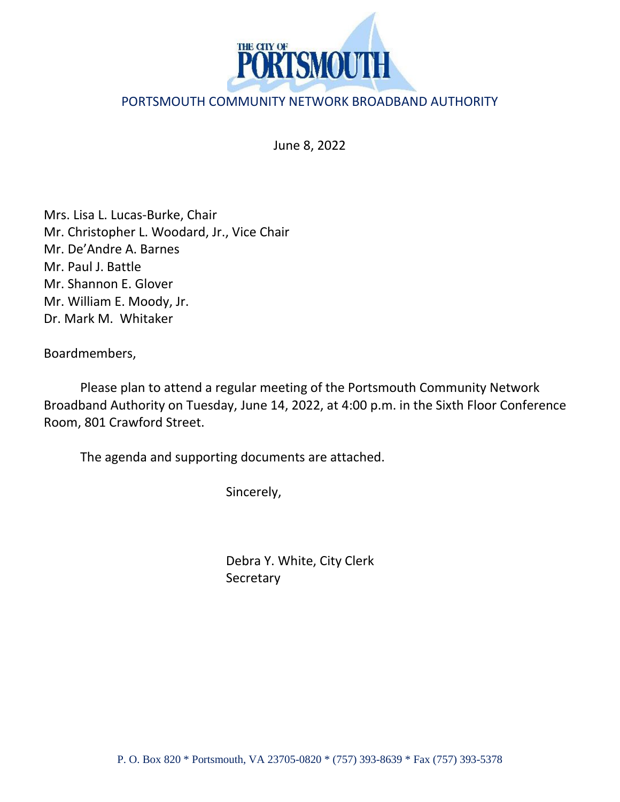

## PORTSMOUTH COMMUNITY NETWORK BROADBAND AUTHORITY

June 8, 2022

Mrs. Lisa L. Lucas-Burke, Chair Mr. Christopher L. Woodard, Jr., Vice Chair Mr. De'Andre A. Barnes Mr. Paul J. Battle Mr. Shannon E. Glover Mr. William E. Moody, Jr. Dr. Mark M. Whitaker

Boardmembers,

Please plan to attend a regular meeting of the Portsmouth Community Network Broadband Authority on Tuesday, June 14, 2022, at 4:00 p.m. in the Sixth Floor Conference Room, 801 Crawford Street.

The agenda and supporting documents are attached.

Sincerely,

Debra Y. White, City Clerk **Secretary**